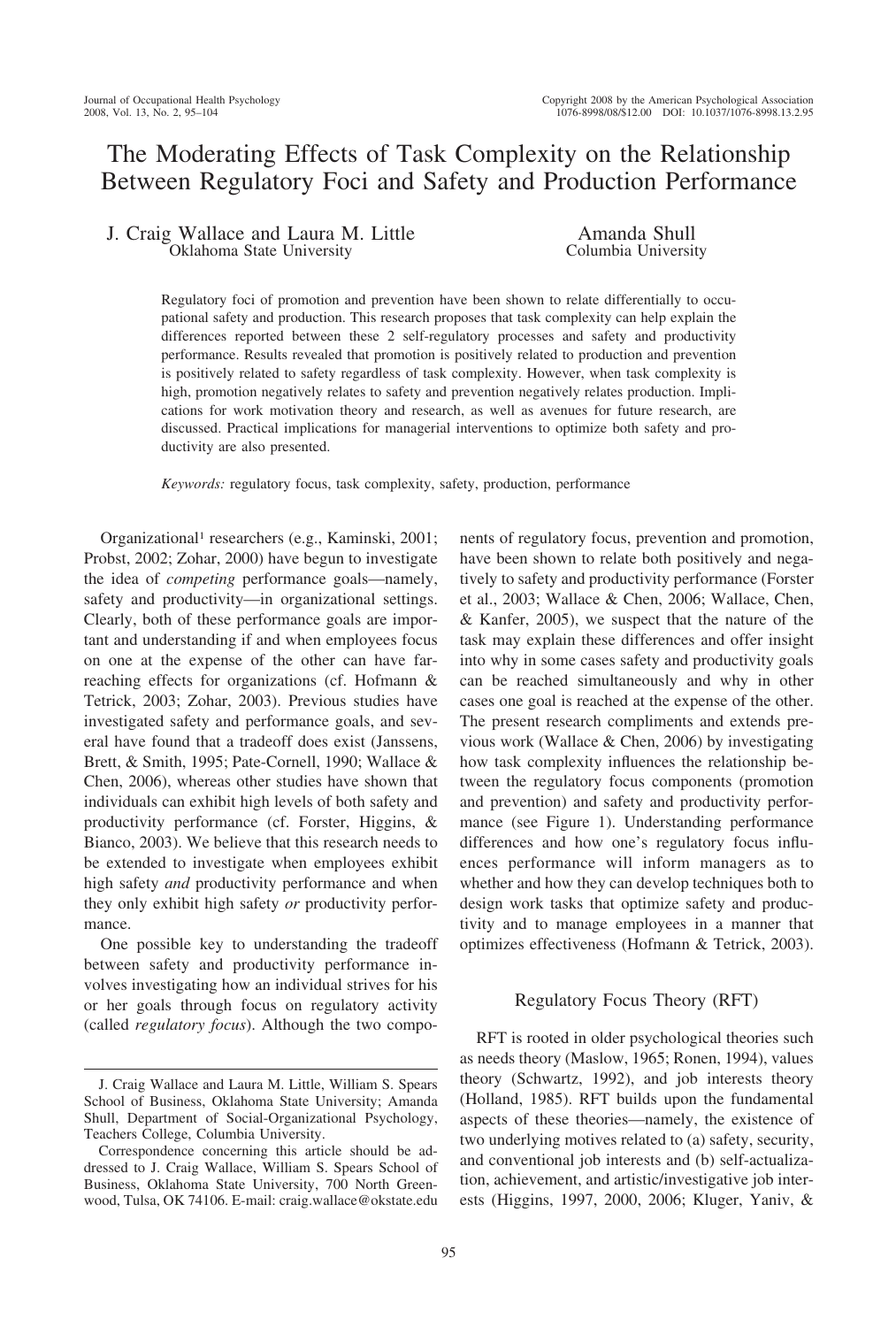# The Moderating Effects of Task Complexity on the Relationship Between Regulatory Foci and Safety and Production Performance

# J. Craig Wallace and Laura M. Little Oklahoma State University

Amanda Shull Columbia University

Regulatory foci of promotion and prevention have been shown to relate differentially to occupational safety and production. This research proposes that task complexity can help explain the differences reported between these 2 self-regulatory processes and safety and productivity performance. Results revealed that promotion is positively related to production and prevention is positively related to safety regardless of task complexity. However, when task complexity is high, promotion negatively relates to safety and prevention negatively relates production. Implications for work motivation theory and research, as well as avenues for future research, are discussed. Practical implications for managerial interventions to optimize both safety and productivity are also presented.

*Keywords:* regulatory focus, task complexity, safety, production, performance

Organizational1 researchers (e.g., Kaminski, 2001; Probst, 2002; Zohar, 2000) have begun to investigate the idea of *competing* performance goals—namely, safety and productivity—in organizational settings. Clearly, both of these performance goals are important and understanding if and when employees focus on one at the expense of the other can have farreaching effects for organizations (cf. Hofmann & Tetrick, 2003; Zohar, 2003). Previous studies have investigated safety and performance goals, and several have found that a tradeoff does exist (Janssens, Brett, & Smith, 1995; Pate-Cornell, 1990; Wallace & Chen, 2006), whereas other studies have shown that individuals can exhibit high levels of both safety and productivity performance (cf. Forster, Higgins, & Bianco, 2003). We believe that this research needs to be extended to investigate when employees exhibit high safety *and* productivity performance and when they only exhibit high safety *or* productivity performance.

One possible key to understanding the tradeoff between safety and productivity performance involves investigating how an individual strives for his or her goals through focus on regulatory activity (called *regulatory focus*). Although the two components of regulatory focus, prevention and promotion, have been shown to relate both positively and negatively to safety and productivity performance (Forster et al., 2003; Wallace & Chen, 2006; Wallace, Chen, & Kanfer, 2005), we suspect that the nature of the task may explain these differences and offer insight into why in some cases safety and productivity goals can be reached simultaneously and why in other cases one goal is reached at the expense of the other. The present research compliments and extends previous work (Wallace & Chen, 2006) by investigating how task complexity influences the relationship between the regulatory focus components (promotion and prevention) and safety and productivity performance (see Figure 1). Understanding performance differences and how one's regulatory focus influences performance will inform managers as to whether and how they can develop techniques both to design work tasks that optimize safety and productivity and to manage employees in a manner that optimizes effectiveness (Hofmann & Tetrick, 2003).

# Regulatory Focus Theory (RFT)

RFT is rooted in older psychological theories such as needs theory (Maslow, 1965; Ronen, 1994), values theory (Schwartz, 1992), and job interests theory (Holland, 1985). RFT builds upon the fundamental aspects of these theories—namely, the existence of two underlying motives related to (a) safety, security, and conventional job interests and (b) self-actualization, achievement, and artistic/investigative job interests (Higgins, 1997, 2000, 2006; Kluger, Yaniv, &

J. Craig Wallace and Laura M. Little, William S. Spears School of Business, Oklahoma State University; Amanda Shull, Department of Social-Organizational Psychology, Teachers College, Columbia University.

Correspondence concerning this article should be addressed to J. Craig Wallace, William S. Spears School of Business, Oklahoma State University, 700 North Greenwood, Tulsa, OK 74106. E-mail: craig.wallace@okstate.edu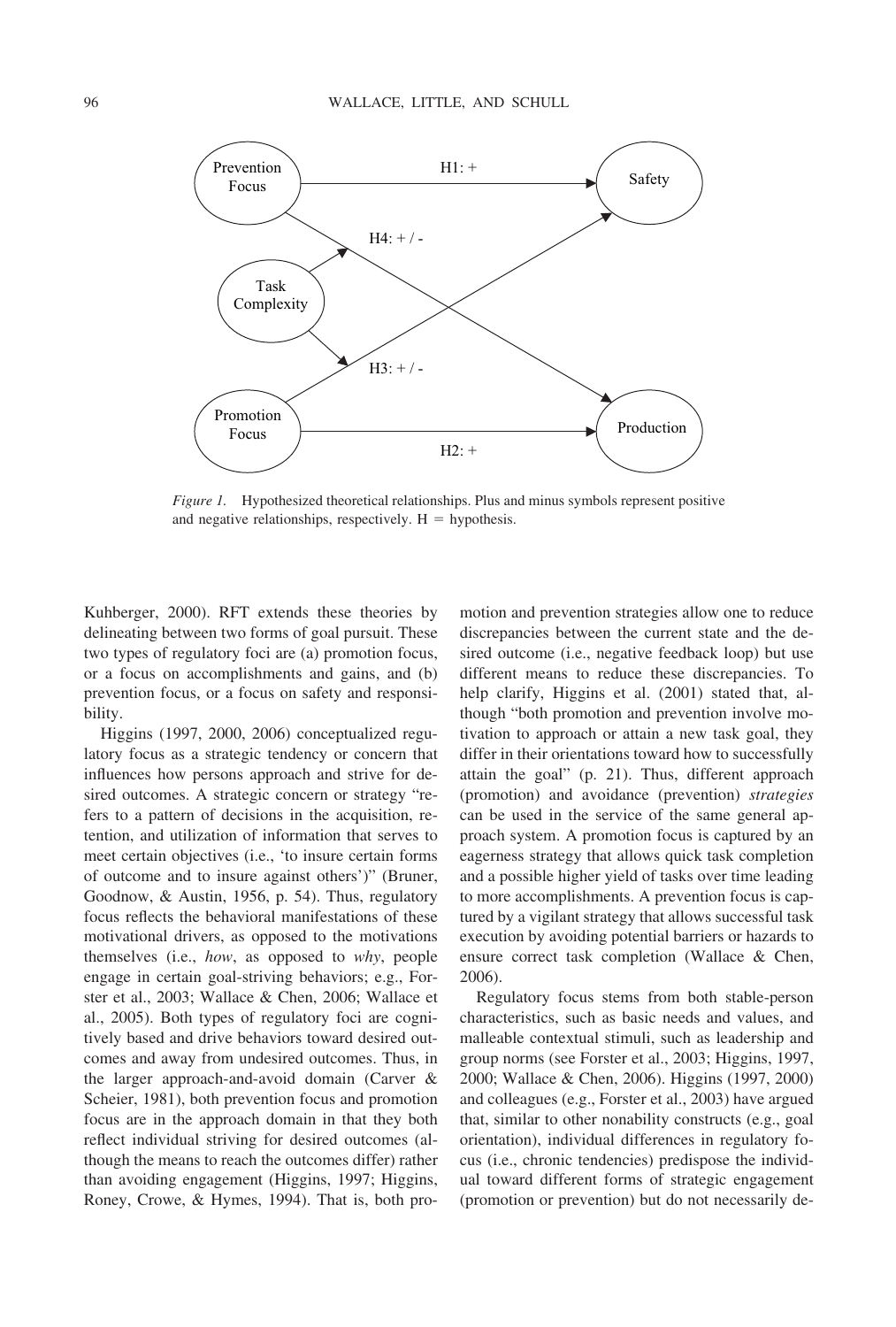

*Figure 1.* Hypothesized theoretical relationships. Plus and minus symbols represent positive and negative relationships, respectively.  $H =$  hypothesis.

Kuhberger, 2000). RFT extends these theories by delineating between two forms of goal pursuit. These two types of regulatory foci are (a) promotion focus, or a focus on accomplishments and gains, and (b) prevention focus, or a focus on safety and responsibility.

Higgins (1997, 2000, 2006) conceptualized regulatory focus as a strategic tendency or concern that influences how persons approach and strive for desired outcomes. A strategic concern or strategy "refers to a pattern of decisions in the acquisition, retention, and utilization of information that serves to meet certain objectives (i.e., 'to insure certain forms of outcome and to insure against others')" (Bruner, Goodnow, & Austin, 1956, p. 54). Thus, regulatory focus reflects the behavioral manifestations of these motivational drivers, as opposed to the motivations themselves (i.e., *how*, as opposed to *why*, people engage in certain goal-striving behaviors; e.g., Forster et al., 2003; Wallace & Chen, 2006; Wallace et al., 2005). Both types of regulatory foci are cognitively based and drive behaviors toward desired outcomes and away from undesired outcomes. Thus, in the larger approach-and-avoid domain (Carver & Scheier, 1981), both prevention focus and promotion focus are in the approach domain in that they both reflect individual striving for desired outcomes (although the means to reach the outcomes differ) rather than avoiding engagement (Higgins, 1997; Higgins, Roney, Crowe, & Hymes, 1994). That is, both promotion and prevention strategies allow one to reduce discrepancies between the current state and the desired outcome (i.e., negative feedback loop) but use different means to reduce these discrepancies. To help clarify, Higgins et al. (2001) stated that, although "both promotion and prevention involve motivation to approach or attain a new task goal, they differ in their orientations toward how to successfully attain the goal" (p. 21). Thus, different approach (promotion) and avoidance (prevention) *strategies* can be used in the service of the same general approach system. A promotion focus is captured by an eagerness strategy that allows quick task completion and a possible higher yield of tasks over time leading to more accomplishments. A prevention focus is captured by a vigilant strategy that allows successful task execution by avoiding potential barriers or hazards to ensure correct task completion (Wallace & Chen, 2006).

Regulatory focus stems from both stable-person characteristics, such as basic needs and values, and malleable contextual stimuli, such as leadership and group norms (see Forster et al., 2003; Higgins, 1997, 2000; Wallace & Chen, 2006). Higgins (1997, 2000) and colleagues (e.g., Forster et al., 2003) have argued that, similar to other nonability constructs (e.g., goal orientation), individual differences in regulatory focus (i.e., chronic tendencies) predispose the individual toward different forms of strategic engagement (promotion or prevention) but do not necessarily de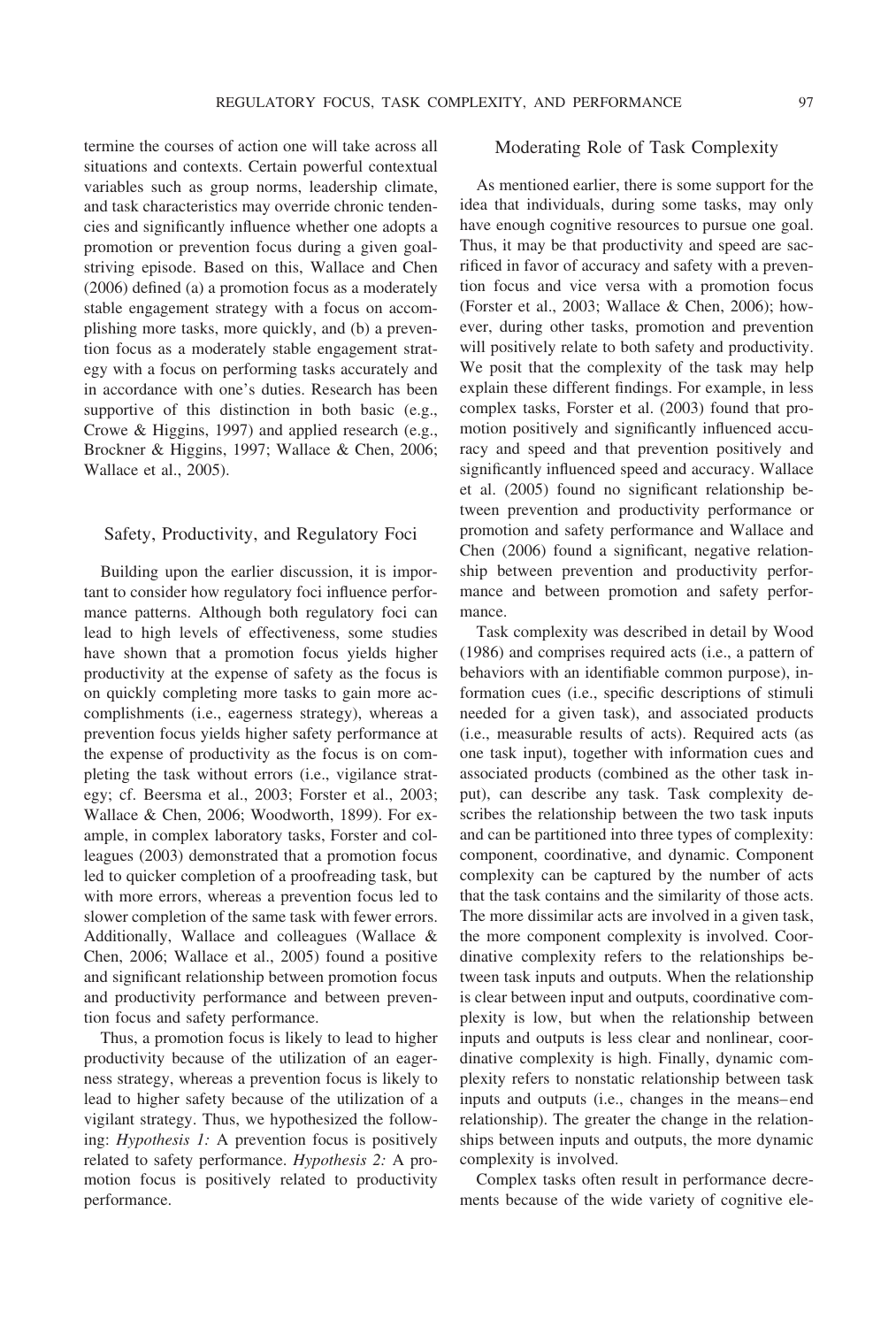termine the courses of action one will take across all situations and contexts. Certain powerful contextual variables such as group norms, leadership climate, and task characteristics may override chronic tendencies and significantly influence whether one adopts a promotion or prevention focus during a given goalstriving episode. Based on this, Wallace and Chen (2006) defined (a) a promotion focus as a moderately stable engagement strategy with a focus on accomplishing more tasks, more quickly, and (b) a prevention focus as a moderately stable engagement strategy with a focus on performing tasks accurately and in accordance with one's duties. Research has been supportive of this distinction in both basic (e.g., Crowe & Higgins, 1997) and applied research (e.g., Brockner & Higgins, 1997; Wallace & Chen, 2006; Wallace et al., 2005).

## Safety, Productivity, and Regulatory Foci

Building upon the earlier discussion, it is important to consider how regulatory foci influence performance patterns. Although both regulatory foci can lead to high levels of effectiveness, some studies have shown that a promotion focus yields higher productivity at the expense of safety as the focus is on quickly completing more tasks to gain more accomplishments (i.e., eagerness strategy), whereas a prevention focus yields higher safety performance at the expense of productivity as the focus is on completing the task without errors (i.e., vigilance strategy; cf. Beersma et al., 2003; Forster et al., 2003; Wallace & Chen, 2006; Woodworth, 1899). For example, in complex laboratory tasks, Forster and colleagues (2003) demonstrated that a promotion focus led to quicker completion of a proofreading task, but with more errors, whereas a prevention focus led to slower completion of the same task with fewer errors. Additionally, Wallace and colleagues (Wallace & Chen, 2006; Wallace et al., 2005) found a positive and significant relationship between promotion focus and productivity performance and between prevention focus and safety performance.

Thus, a promotion focus is likely to lead to higher productivity because of the utilization of an eagerness strategy, whereas a prevention focus is likely to lead to higher safety because of the utilization of a vigilant strategy. Thus, we hypothesized the following: *Hypothesis 1:* A prevention focus is positively related to safety performance. *Hypothesis 2:* A promotion focus is positively related to productivity performance.

# Moderating Role of Task Complexity

As mentioned earlier, there is some support for the idea that individuals, during some tasks, may only have enough cognitive resources to pursue one goal. Thus, it may be that productivity and speed are sacrificed in favor of accuracy and safety with a prevention focus and vice versa with a promotion focus (Forster et al., 2003; Wallace & Chen, 2006); however, during other tasks, promotion and prevention will positively relate to both safety and productivity. We posit that the complexity of the task may help explain these different findings. For example, in less complex tasks, Forster et al. (2003) found that promotion positively and significantly influenced accuracy and speed and that prevention positively and significantly influenced speed and accuracy. Wallace et al. (2005) found no significant relationship between prevention and productivity performance or promotion and safety performance and Wallace and Chen (2006) found a significant, negative relationship between prevention and productivity performance and between promotion and safety performance.

Task complexity was described in detail by Wood (1986) and comprises required acts (i.e., a pattern of behaviors with an identifiable common purpose), information cues (i.e., specific descriptions of stimuli needed for a given task), and associated products (i.e., measurable results of acts). Required acts (as one task input), together with information cues and associated products (combined as the other task input), can describe any task. Task complexity describes the relationship between the two task inputs and can be partitioned into three types of complexity: component, coordinative, and dynamic. Component complexity can be captured by the number of acts that the task contains and the similarity of those acts. The more dissimilar acts are involved in a given task, the more component complexity is involved. Coordinative complexity refers to the relationships between task inputs and outputs. When the relationship is clear between input and outputs, coordinative complexity is low, but when the relationship between inputs and outputs is less clear and nonlinear, coordinative complexity is high. Finally, dynamic complexity refers to nonstatic relationship between task inputs and outputs (i.e., changes in the means–end relationship). The greater the change in the relationships between inputs and outputs, the more dynamic complexity is involved.

Complex tasks often result in performance decrements because of the wide variety of cognitive ele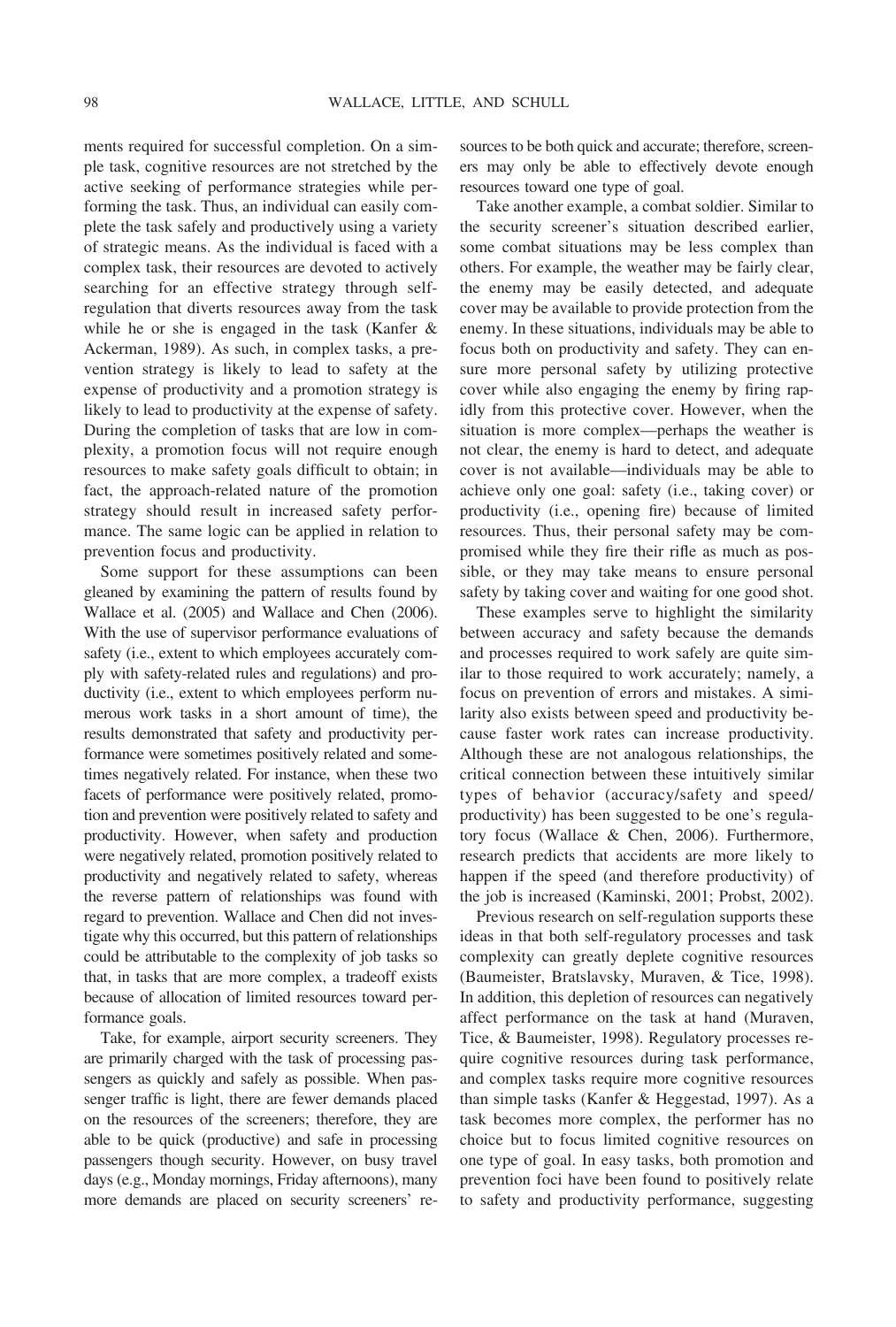ments required for successful completion. On a simple task, cognitive resources are not stretched by the active seeking of performance strategies while performing the task. Thus, an individual can easily complete the task safely and productively using a variety of strategic means. As the individual is faced with a complex task, their resources are devoted to actively searching for an effective strategy through selfregulation that diverts resources away from the task while he or she is engaged in the task (Kanfer & Ackerman, 1989). As such, in complex tasks, a prevention strategy is likely to lead to safety at the expense of productivity and a promotion strategy is likely to lead to productivity at the expense of safety. During the completion of tasks that are low in complexity, a promotion focus will not require enough resources to make safety goals difficult to obtain; in fact, the approach-related nature of the promotion strategy should result in increased safety performance. The same logic can be applied in relation to prevention focus and productivity.

Some support for these assumptions can been gleaned by examining the pattern of results found by Wallace et al. (2005) and Wallace and Chen (2006). With the use of supervisor performance evaluations of safety (i.e., extent to which employees accurately comply with safety-related rules and regulations) and productivity (i.e., extent to which employees perform numerous work tasks in a short amount of time), the results demonstrated that safety and productivity performance were sometimes positively related and sometimes negatively related. For instance, when these two facets of performance were positively related, promotion and prevention were positively related to safety and productivity. However, when safety and production were negatively related, promotion positively related to productivity and negatively related to safety, whereas the reverse pattern of relationships was found with regard to prevention. Wallace and Chen did not investigate why this occurred, but this pattern of relationships could be attributable to the complexity of job tasks so that, in tasks that are more complex, a tradeoff exists because of allocation of limited resources toward performance goals.

Take, for example, airport security screeners. They are primarily charged with the task of processing passengers as quickly and safely as possible. When passenger traffic is light, there are fewer demands placed on the resources of the screeners; therefore, they are able to be quick (productive) and safe in processing passengers though security. However, on busy travel days (e.g., Monday mornings, Friday afternoons), many more demands are placed on security screeners' resources to be both quick and accurate; therefore, screeners may only be able to effectively devote enough resources toward one type of goal.

Take another example, a combat soldier. Similar to the security screener's situation described earlier, some combat situations may be less complex than others. For example, the weather may be fairly clear, the enemy may be easily detected, and adequate cover may be available to provide protection from the enemy. In these situations, individuals may be able to focus both on productivity and safety. They can ensure more personal safety by utilizing protective cover while also engaging the enemy by firing rapidly from this protective cover. However, when the situation is more complex—perhaps the weather is not clear, the enemy is hard to detect, and adequate cover is not available—individuals may be able to achieve only one goal: safety (i.e., taking cover) or productivity (i.e., opening fire) because of limited resources. Thus, their personal safety may be compromised while they fire their rifle as much as possible, or they may take means to ensure personal safety by taking cover and waiting for one good shot.

These examples serve to highlight the similarity between accuracy and safety because the demands and processes required to work safely are quite similar to those required to work accurately; namely, a focus on prevention of errors and mistakes. A similarity also exists between speed and productivity because faster work rates can increase productivity. Although these are not analogous relationships, the critical connection between these intuitively similar types of behavior (accuracy/safety and speed/ productivity) has been suggested to be one's regulatory focus (Wallace & Chen, 2006). Furthermore, research predicts that accidents are more likely to happen if the speed (and therefore productivity) of the job is increased (Kaminski, 2001; Probst, 2002).

Previous research on self-regulation supports these ideas in that both self-regulatory processes and task complexity can greatly deplete cognitive resources (Baumeister, Bratslavsky, Muraven, & Tice, 1998). In addition, this depletion of resources can negatively affect performance on the task at hand (Muraven, Tice, & Baumeister, 1998). Regulatory processes require cognitive resources during task performance, and complex tasks require more cognitive resources than simple tasks (Kanfer & Heggestad, 1997). As a task becomes more complex, the performer has no choice but to focus limited cognitive resources on one type of goal. In easy tasks, both promotion and prevention foci have been found to positively relate to safety and productivity performance, suggesting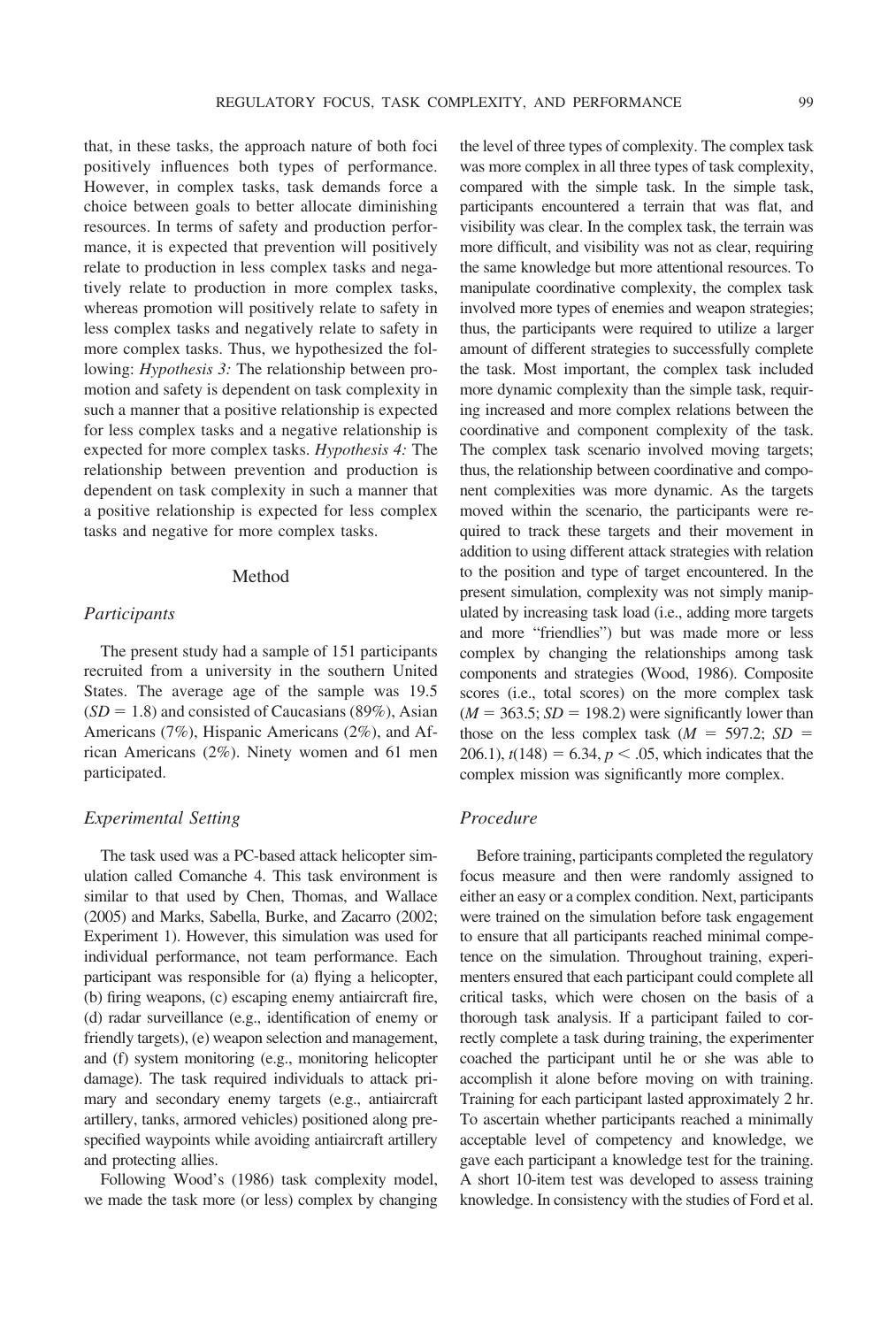that, in these tasks, the approach nature of both foci positively influences both types of performance. However, in complex tasks, task demands force a choice between goals to better allocate diminishing resources. In terms of safety and production performance, it is expected that prevention will positively relate to production in less complex tasks and negatively relate to production in more complex tasks, whereas promotion will positively relate to safety in less complex tasks and negatively relate to safety in more complex tasks. Thus, we hypothesized the following: *Hypothesis 3:* The relationship between promotion and safety is dependent on task complexity in such a manner that a positive relationship is expected for less complex tasks and a negative relationship is expected for more complex tasks. *Hypothesis 4:* The relationship between prevention and production is dependent on task complexity in such a manner that a positive relationship is expected for less complex tasks and negative for more complex tasks.

## Method

#### *Participants*

The present study had a sample of 151 participants recruited from a university in the southern United States. The average age of the sample was 19.5  $(SD = 1.8)$  and consisted of Caucasians (89%), Asian Americans (7%), Hispanic Americans (2%), and African Americans (2%). Ninety women and 61 men participated.

### *Experimental Setting*

The task used was a PC-based attack helicopter simulation called Comanche 4. This task environment is similar to that used by Chen, Thomas, and Wallace (2005) and Marks, Sabella, Burke, and Zacarro (2002; Experiment 1). However, this simulation was used for individual performance, not team performance. Each participant was responsible for (a) flying a helicopter, (b) firing weapons, (c) escaping enemy antiaircraft fire, (d) radar surveillance (e.g., identification of enemy or friendly targets), (e) weapon selection and management, and (f) system monitoring (e.g., monitoring helicopter damage). The task required individuals to attack primary and secondary enemy targets (e.g., antiaircraft artillery, tanks, armored vehicles) positioned along prespecified waypoints while avoiding antiaircraft artillery and protecting allies.

Following Wood's (1986) task complexity model, we made the task more (or less) complex by changing the level of three types of complexity. The complex task was more complex in all three types of task complexity, compared with the simple task. In the simple task, participants encountered a terrain that was flat, and visibility was clear. In the complex task, the terrain was more difficult, and visibility was not as clear, requiring the same knowledge but more attentional resources. To manipulate coordinative complexity, the complex task involved more types of enemies and weapon strategies; thus, the participants were required to utilize a larger amount of different strategies to successfully complete the task. Most important, the complex task included more dynamic complexity than the simple task, requiring increased and more complex relations between the coordinative and component complexity of the task. The complex task scenario involved moving targets; thus, the relationship between coordinative and component complexities was more dynamic. As the targets moved within the scenario, the participants were required to track these targets and their movement in addition to using different attack strategies with relation to the position and type of target encountered. In the present simulation, complexity was not simply manipulated by increasing task load (i.e., adding more targets and more "friendlies") but was made more or less complex by changing the relationships among task components and strategies (Wood, 1986). Composite scores (i.e., total scores) on the more complex task  $(M = 363.5; SD = 198.2)$  were significantly lower than those on the less complex task  $(M = 597.2; SD =$ 206.1),  $t(148) = 6.34, p < .05$ , which indicates that the complex mission was significantly more complex.

### *Procedure*

Before training, participants completed the regulatory focus measure and then were randomly assigned to either an easy or a complex condition. Next, participants were trained on the simulation before task engagement to ensure that all participants reached minimal competence on the simulation. Throughout training, experimenters ensured that each participant could complete all critical tasks, which were chosen on the basis of a thorough task analysis. If a participant failed to correctly complete a task during training, the experimenter coached the participant until he or she was able to accomplish it alone before moving on with training. Training for each participant lasted approximately 2 hr. To ascertain whether participants reached a minimally acceptable level of competency and knowledge, we gave each participant a knowledge test for the training. A short 10-item test was developed to assess training knowledge. In consistency with the studies of Ford et al.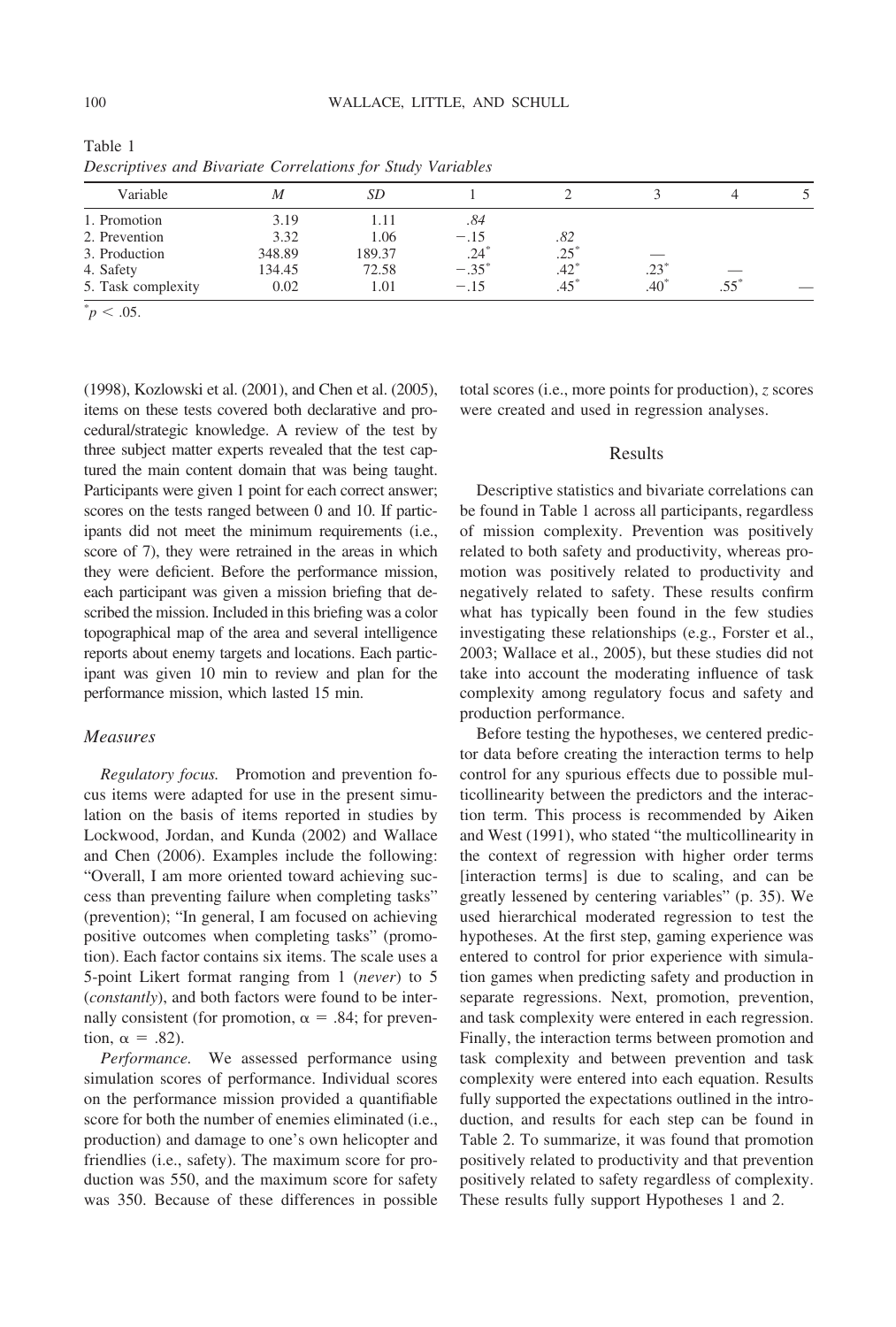| Variable           | M      | SD     |          |        |        |               |  |
|--------------------|--------|--------|----------|--------|--------|---------------|--|
| 1. Promotion       | 3.19   | 1.11   | .84      |        |        |               |  |
| 2. Prevention      | 3.32   | 1.06   | $-.15$   | .82    |        |               |  |
| 3. Production      | 348.89 | 189.37 | $.24*$   | $.25*$ |        |               |  |
| 4. Safety          | 134.45 | 72.58  | $-.35^*$ | $.42*$ | $.23*$ |               |  |
| 5. Task complexity | 0.02   | 1.01   | $-.15$   | $.45*$ | $.40*$ | $.55^{\circ}$ |  |

Table 1 *Descriptives and Bivariate Correlations for Study Variables*

 $p^*$   $> 0.05$ .

(1998), Kozlowski et al. (2001), and Chen et al. (2005), items on these tests covered both declarative and procedural/strategic knowledge. A review of the test by three subject matter experts revealed that the test captured the main content domain that was being taught. Participants were given 1 point for each correct answer; scores on the tests ranged between 0 and 10. If participants did not meet the minimum requirements (i.e., score of 7), they were retrained in the areas in which they were deficient. Before the performance mission, each participant was given a mission briefing that described the mission. Included in this briefing was a color topographical map of the area and several intelligence reports about enemy targets and locations. Each participant was given 10 min to review and plan for the performance mission, which lasted 15 min.

#### *Measures*

*Regulatory focus.* Promotion and prevention focus items were adapted for use in the present simulation on the basis of items reported in studies by Lockwood, Jordan, and Kunda (2002) and Wallace and Chen (2006). Examples include the following: "Overall, I am more oriented toward achieving success than preventing failure when completing tasks" (prevention); "In general, I am focused on achieving positive outcomes when completing tasks" (promotion). Each factor contains six items. The scale uses a 5-point Likert format ranging from 1 (*never*) to 5 (*constantly*), and both factors were found to be internally consistent (for promotion,  $\alpha = .84$ ; for prevention,  $\alpha = .82$ ).

*Performance.* We assessed performance using simulation scores of performance. Individual scores on the performance mission provided a quantifiable score for both the number of enemies eliminated (i.e., production) and damage to one's own helicopter and friendlies (i.e., safety). The maximum score for production was 550, and the maximum score for safety was 350. Because of these differences in possible total scores (i.e., more points for production), *z* scores were created and used in regression analyses.

#### Results

Descriptive statistics and bivariate correlations can be found in Table 1 across all participants, regardless of mission complexity. Prevention was positively related to both safety and productivity, whereas promotion was positively related to productivity and negatively related to safety. These results confirm what has typically been found in the few studies investigating these relationships (e.g., Forster et al., 2003; Wallace et al., 2005), but these studies did not take into account the moderating influence of task complexity among regulatory focus and safety and production performance.

Before testing the hypotheses, we centered predictor data before creating the interaction terms to help control for any spurious effects due to possible multicollinearity between the predictors and the interaction term. This process is recommended by Aiken and West (1991), who stated "the multicollinearity in the context of regression with higher order terms [interaction terms] is due to scaling, and can be greatly lessened by centering variables" (p. 35). We used hierarchical moderated regression to test the hypotheses. At the first step, gaming experience was entered to control for prior experience with simulation games when predicting safety and production in separate regressions. Next, promotion, prevention, and task complexity were entered in each regression. Finally, the interaction terms between promotion and task complexity and between prevention and task complexity were entered into each equation. Results fully supported the expectations outlined in the introduction, and results for each step can be found in Table 2. To summarize, it was found that promotion positively related to productivity and that prevention positively related to safety regardless of complexity. These results fully support Hypotheses 1 and 2.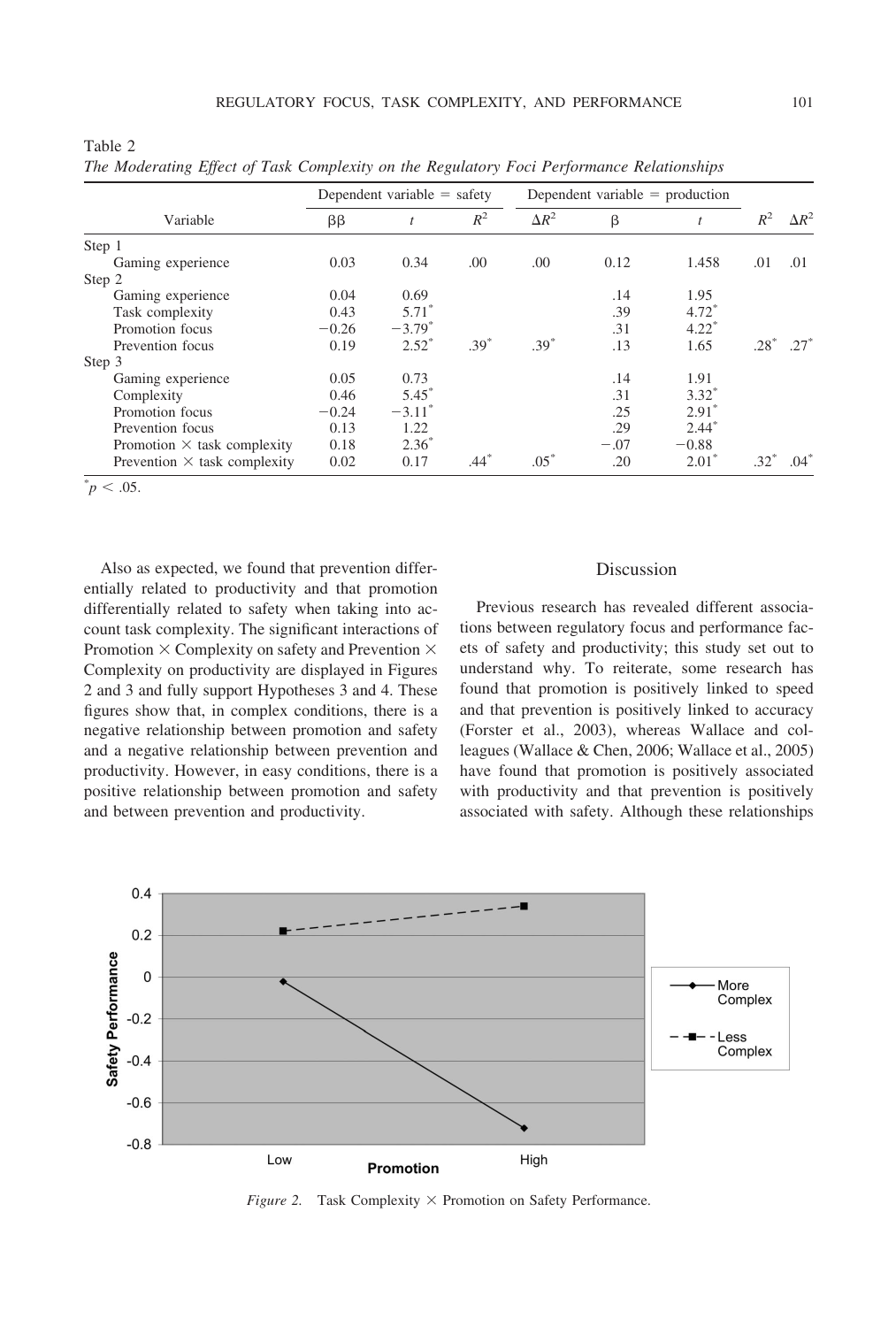|                                     | Dependent variable $=$ safety |                      |        | Dependent variable $=$ production |        |                     |        |              |
|-------------------------------------|-------------------------------|----------------------|--------|-----------------------------------|--------|---------------------|--------|--------------|
| Variable                            | $\beta\beta$                  | t                    | $R^2$  | $\Delta R^2$                      | β      |                     | $R^2$  | $\Delta R^2$ |
| Step 1                              |                               |                      |        |                                   |        |                     |        |              |
| Gaming experience                   | 0.03                          | 0.34                 | .00    | .00                               | 0.12   | 1.458               | .01    | .01          |
| Step 2                              |                               |                      |        |                                   |        |                     |        |              |
| Gaming experience                   | 0.04                          | 0.69                 |        |                                   | .14    | 1.95                |        |              |
| Task complexity                     | 0.43                          | $5.71*$              |        |                                   | .39    | $4.72*$             |        |              |
| Promotion focus                     | $-0.26$                       | $-3.79*$             |        |                                   | .31    | $4.22$ <sup>*</sup> |        |              |
| Prevention focus                    | 0.19                          | $2.52^*$             | $.39*$ | $.39*$                            | .13    | 1.65                | $.28*$ | $.27^{*}$    |
| Step 3                              |                               |                      |        |                                   |        |                     |        |              |
| Gaming experience                   | 0.05                          | 0.73                 |        |                                   | .14    | 1.91                |        |              |
| Complexity                          | 0.46                          | $5.45*$              |        |                                   | .31    | $3.32*$             |        |              |
| Promotion focus                     | $-0.24$                       | $-3.11$ <sup>*</sup> |        |                                   | .25    | $2.91^*$            |        |              |
| Prevention focus                    | 0.13                          | 1.22                 |        |                                   | .29    | $2.44*$             |        |              |
| Promotion $\times$ task complexity  | 0.18                          | $2.36*$              |        |                                   | $-.07$ | $-0.88$             |        |              |
| Prevention $\times$ task complexity | 0.02                          | 0.17                 | $.44*$ | $.05*$                            | .20    | $2.01*$             | .32    | $.04*$       |

Table 2

*The Moderating Effect of Task Complexity on the Regulatory Foci Performance Relationships*

 $p^*$  < .05.

Also as expected, we found that prevention differentially related to productivity and that promotion differentially related to safety when taking into account task complexity. The significant interactions of Promotion  $\times$  Complexity on safety and Prevention  $\times$ Complexity on productivity are displayed in Figures 2 and 3 and fully support Hypotheses 3 and 4. These figures show that, in complex conditions, there is a negative relationship between promotion and safety and a negative relationship between prevention and productivity. However, in easy conditions, there is a positive relationship between promotion and safety and between prevention and productivity.

## Discussion

Previous research has revealed different associations between regulatory focus and performance facets of safety and productivity; this study set out to understand why. To reiterate, some research has found that promotion is positively linked to speed and that prevention is positively linked to accuracy (Forster et al., 2003), whereas Wallace and colleagues (Wallace & Chen, 2006; Wallace et al., 2005) have found that promotion is positively associated with productivity and that prevention is positively associated with safety. Although these relationships



*Figure 2.* Task Complexity  $\times$  Promotion on Safety Performance.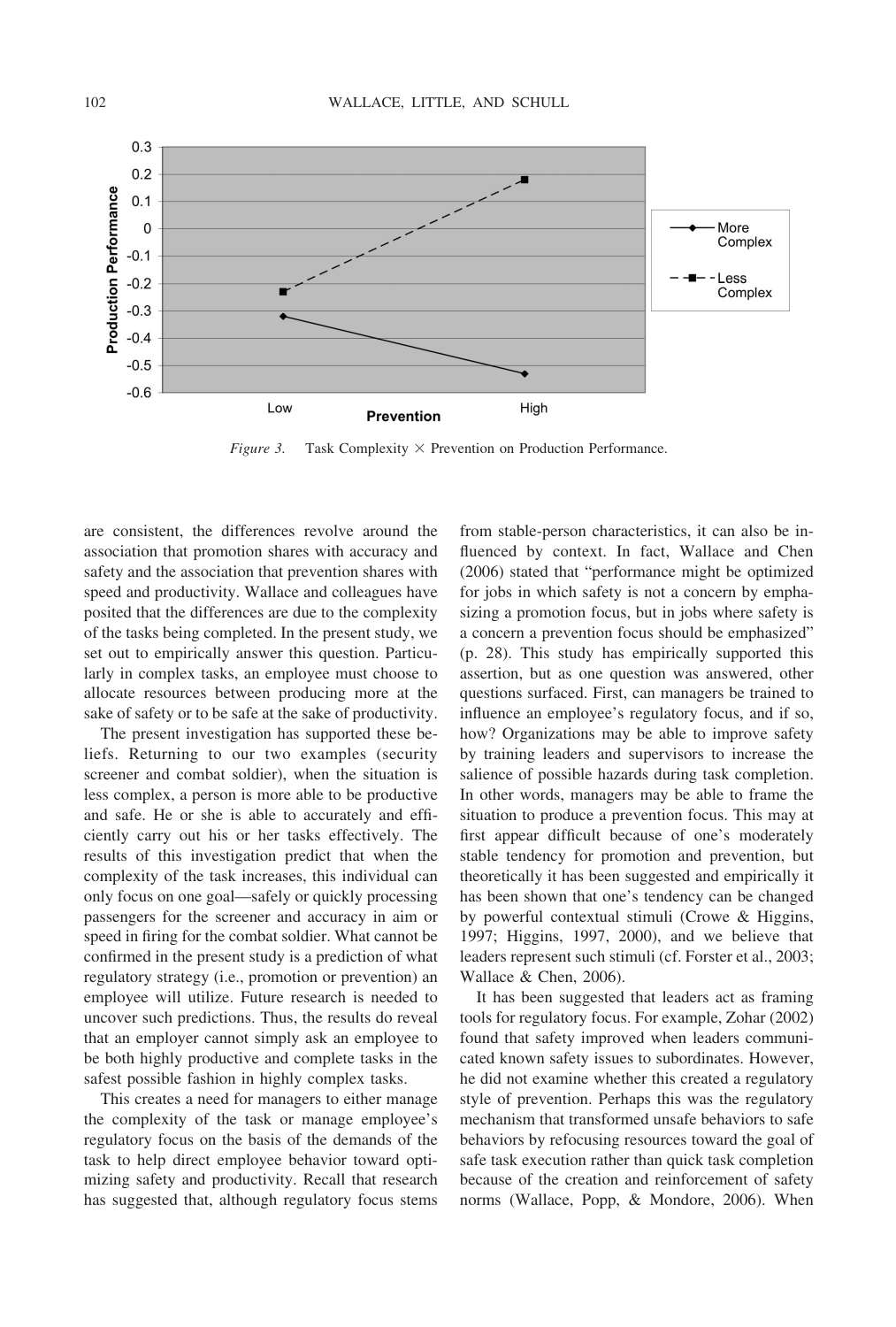

*Figure 3.* Task Complexity  $\times$  Prevention on Production Performance.

are consistent, the differences revolve around the association that promotion shares with accuracy and safety and the association that prevention shares with speed and productivity. Wallace and colleagues have posited that the differences are due to the complexity of the tasks being completed. In the present study, we set out to empirically answer this question. Particularly in complex tasks, an employee must choose to allocate resources between producing more at the sake of safety or to be safe at the sake of productivity.

The present investigation has supported these beliefs. Returning to our two examples (security screener and combat soldier), when the situation is less complex, a person is more able to be productive and safe. He or she is able to accurately and efficiently carry out his or her tasks effectively. The results of this investigation predict that when the complexity of the task increases, this individual can only focus on one goal—safely or quickly processing passengers for the screener and accuracy in aim or speed in firing for the combat soldier. What cannot be confirmed in the present study is a prediction of what regulatory strategy (i.e., promotion or prevention) an employee will utilize. Future research is needed to uncover such predictions. Thus, the results do reveal that an employer cannot simply ask an employee to be both highly productive and complete tasks in the safest possible fashion in highly complex tasks.

This creates a need for managers to either manage the complexity of the task or manage employee's regulatory focus on the basis of the demands of the task to help direct employee behavior toward optimizing safety and productivity. Recall that research has suggested that, although regulatory focus stems from stable-person characteristics, it can also be influenced by context. In fact, Wallace and Chen (2006) stated that "performance might be optimized for jobs in which safety is not a concern by emphasizing a promotion focus, but in jobs where safety is a concern a prevention focus should be emphasized" (p. 28). This study has empirically supported this assertion, but as one question was answered, other questions surfaced. First, can managers be trained to influence an employee's regulatory focus, and if so, how? Organizations may be able to improve safety by training leaders and supervisors to increase the salience of possible hazards during task completion. In other words, managers may be able to frame the situation to produce a prevention focus. This may at first appear difficult because of one's moderately stable tendency for promotion and prevention, but theoretically it has been suggested and empirically it has been shown that one's tendency can be changed by powerful contextual stimuli (Crowe & Higgins, 1997; Higgins, 1997, 2000), and we believe that leaders represent such stimuli (cf. Forster et al., 2003; Wallace & Chen, 2006).

It has been suggested that leaders act as framing tools for regulatory focus. For example, Zohar (2002) found that safety improved when leaders communicated known safety issues to subordinates. However, he did not examine whether this created a regulatory style of prevention. Perhaps this was the regulatory mechanism that transformed unsafe behaviors to safe behaviors by refocusing resources toward the goal of safe task execution rather than quick task completion because of the creation and reinforcement of safety norms (Wallace, Popp, & Mondore, 2006). When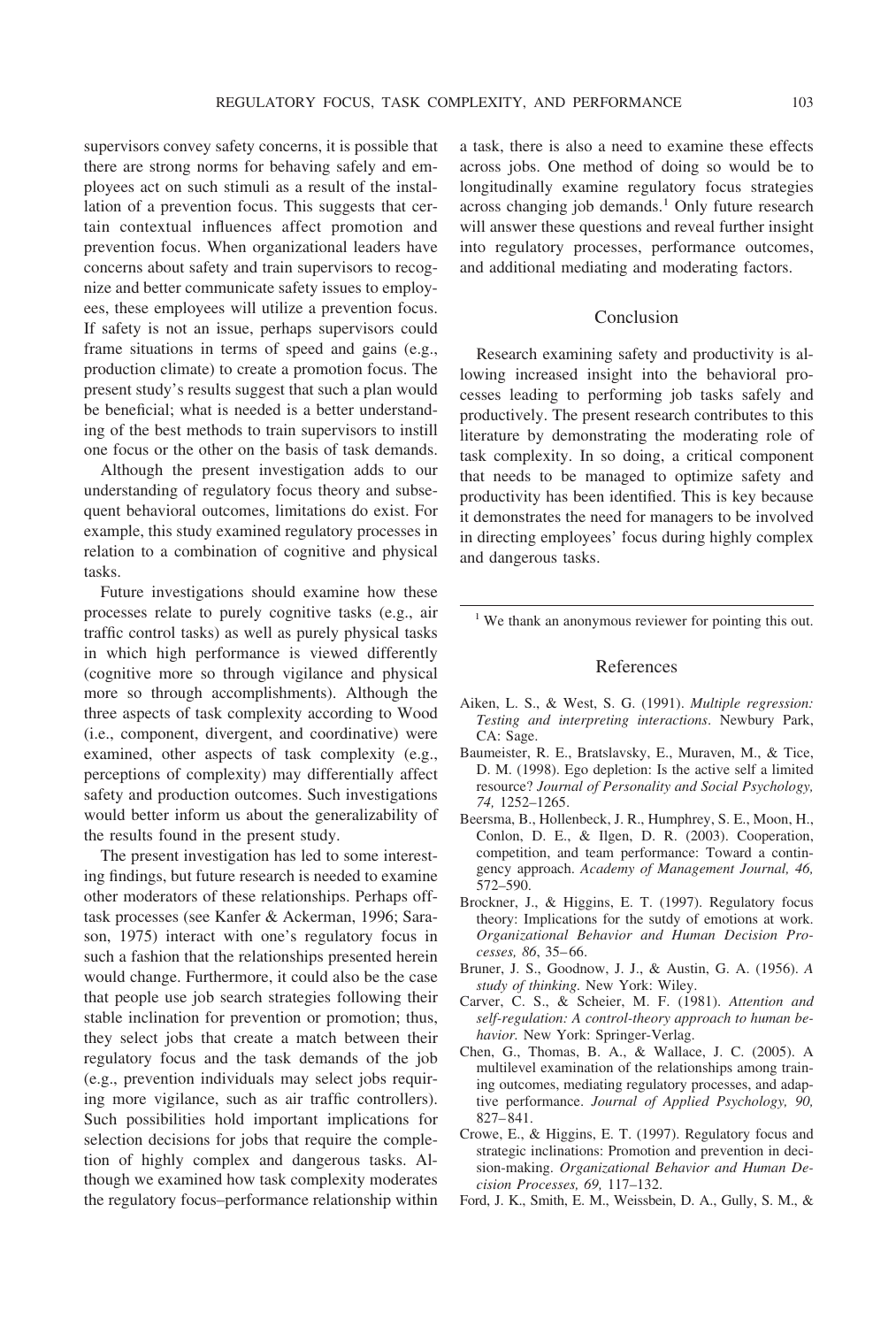supervisors convey safety concerns, it is possible that there are strong norms for behaving safely and employees act on such stimuli as a result of the installation of a prevention focus. This suggests that certain contextual influences affect promotion and prevention focus. When organizational leaders have concerns about safety and train supervisors to recognize and better communicate safety issues to employees, these employees will utilize a prevention focus. If safety is not an issue, perhaps supervisors could frame situations in terms of speed and gains (e.g., production climate) to create a promotion focus. The present study's results suggest that such a plan would be beneficial; what is needed is a better understanding of the best methods to train supervisors to instill one focus or the other on the basis of task demands.

Although the present investigation adds to our understanding of regulatory focus theory and subsequent behavioral outcomes, limitations do exist. For example, this study examined regulatory processes in relation to a combination of cognitive and physical tasks.

Future investigations should examine how these processes relate to purely cognitive tasks (e.g., air traffic control tasks) as well as purely physical tasks in which high performance is viewed differently (cognitive more so through vigilance and physical more so through accomplishments). Although the three aspects of task complexity according to Wood (i.e., component, divergent, and coordinative) were examined, other aspects of task complexity (e.g., perceptions of complexity) may differentially affect safety and production outcomes. Such investigations would better inform us about the generalizability of the results found in the present study.

The present investigation has led to some interesting findings, but future research is needed to examine other moderators of these relationships. Perhaps offtask processes (see Kanfer & Ackerman, 1996; Sarason, 1975) interact with one's regulatory focus in such a fashion that the relationships presented herein would change. Furthermore, it could also be the case that people use job search strategies following their stable inclination for prevention or promotion; thus, they select jobs that create a match between their regulatory focus and the task demands of the job (e.g., prevention individuals may select jobs requiring more vigilance, such as air traffic controllers). Such possibilities hold important implications for selection decisions for jobs that require the completion of highly complex and dangerous tasks. Although we examined how task complexity moderates the regulatory focus–performance relationship within a task, there is also a need to examine these effects across jobs. One method of doing so would be to longitudinally examine regulatory focus strategies across changing job demands.<sup>1</sup> Only future research will answer these questions and reveal further insight into regulatory processes, performance outcomes, and additional mediating and moderating factors.

## Conclusion

Research examining safety and productivity is allowing increased insight into the behavioral processes leading to performing job tasks safely and productively. The present research contributes to this literature by demonstrating the moderating role of task complexity. In so doing, a critical component that needs to be managed to optimize safety and productivity has been identified. This is key because it demonstrates the need for managers to be involved in directing employees' focus during highly complex and dangerous tasks.

<sup>1</sup> We thank an anonymous reviewer for pointing this out.

#### References

- Aiken, L. S., & West, S. G. (1991). *Multiple regression: Testing and interpreting interactions*. Newbury Park, CA: Sage.
- Baumeister, R. E., Bratslavsky, E., Muraven, M., & Tice, D. M. (1998). Ego depletion: Is the active self a limited resource? *Journal of Personality and Social Psychology, 74,* 1252–1265.
- Beersma, B., Hollenbeck, J. R., Humphrey, S. E., Moon, H., Conlon, D. E., & Ilgen, D. R. (2003). Cooperation, competition, and team performance: Toward a contingency approach. *Academy of Management Journal, 46,* 572–590.
- Brockner, J., & Higgins, E. T. (1997). Regulatory focus theory: Implications for the sutdy of emotions at work. *Organizational Behavior and Human Decision Processes, 86*, 35–66.
- Bruner, J. S., Goodnow, J. J., & Austin, G. A. (1956). *A study of thinking.* New York: Wiley.
- Carver, C. S., & Scheier, M. F. (1981). *Attention and self-regulation: A control-theory approach to human behavior.* New York: Springer-Verlag.
- Chen, G., Thomas, B. A., & Wallace, J. C. (2005). A multilevel examination of the relationships among training outcomes, mediating regulatory processes, and adaptive performance. *Journal of Applied Psychology, 90,* 827–841.
- Crowe, E., & Higgins, E. T. (1997). Regulatory focus and strategic inclinations: Promotion and prevention in decision-making. *Organizational Behavior and Human Decision Processes, 69,* 117–132.
- Ford, J. K., Smith, E. M., Weissbein, D. A., Gully, S. M., &